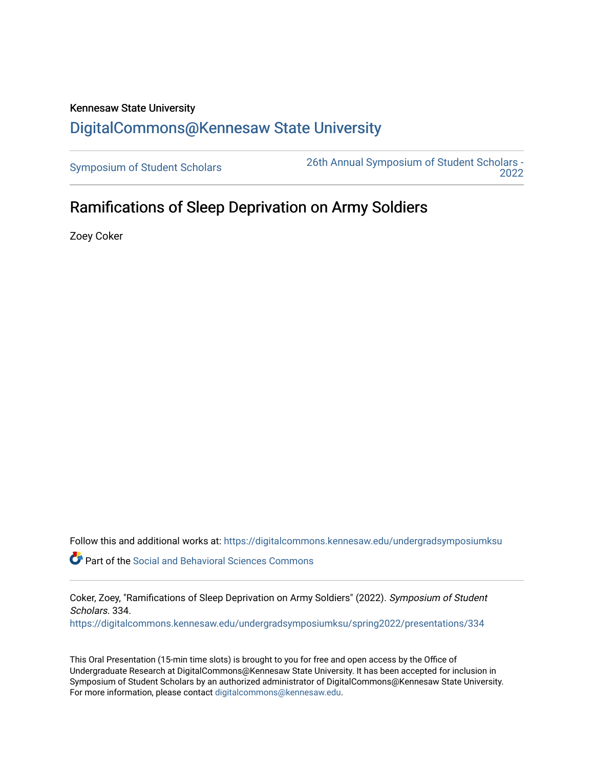## Kennesaw State University [DigitalCommons@Kennesaw State University](https://digitalcommons.kennesaw.edu/)

[Symposium of Student Scholars](https://digitalcommons.kennesaw.edu/undergradsymposiumksu) [26th Annual Symposium of Student Scholars -](https://digitalcommons.kennesaw.edu/undergradsymposiumksu/spring2022)  [2022](https://digitalcommons.kennesaw.edu/undergradsymposiumksu/spring2022) 

## Ramifications of Sleep Deprivation on Army Soldiers

Zoey Coker

Follow this and additional works at: [https://digitalcommons.kennesaw.edu/undergradsymposiumksu](https://digitalcommons.kennesaw.edu/undergradsymposiumksu?utm_source=digitalcommons.kennesaw.edu%2Fundergradsymposiumksu%2Fspring2022%2Fpresentations%2F334&utm_medium=PDF&utm_campaign=PDFCoverPages) 

Part of the [Social and Behavioral Sciences Commons](http://network.bepress.com/hgg/discipline/316?utm_source=digitalcommons.kennesaw.edu%2Fundergradsymposiumksu%2Fspring2022%2Fpresentations%2F334&utm_medium=PDF&utm_campaign=PDFCoverPages) 

Coker, Zoey, "Ramifications of Sleep Deprivation on Army Soldiers" (2022). Symposium of Student Scholars. 334.

[https://digitalcommons.kennesaw.edu/undergradsymposiumksu/spring2022/presentations/334](https://digitalcommons.kennesaw.edu/undergradsymposiumksu/spring2022/presentations/334?utm_source=digitalcommons.kennesaw.edu%2Fundergradsymposiumksu%2Fspring2022%2Fpresentations%2F334&utm_medium=PDF&utm_campaign=PDFCoverPages)

This Oral Presentation (15-min time slots) is brought to you for free and open access by the Office of Undergraduate Research at DigitalCommons@Kennesaw State University. It has been accepted for inclusion in Symposium of Student Scholars by an authorized administrator of DigitalCommons@Kennesaw State University. For more information, please contact [digitalcommons@kennesaw.edu.](mailto:digitalcommons@kennesaw.edu)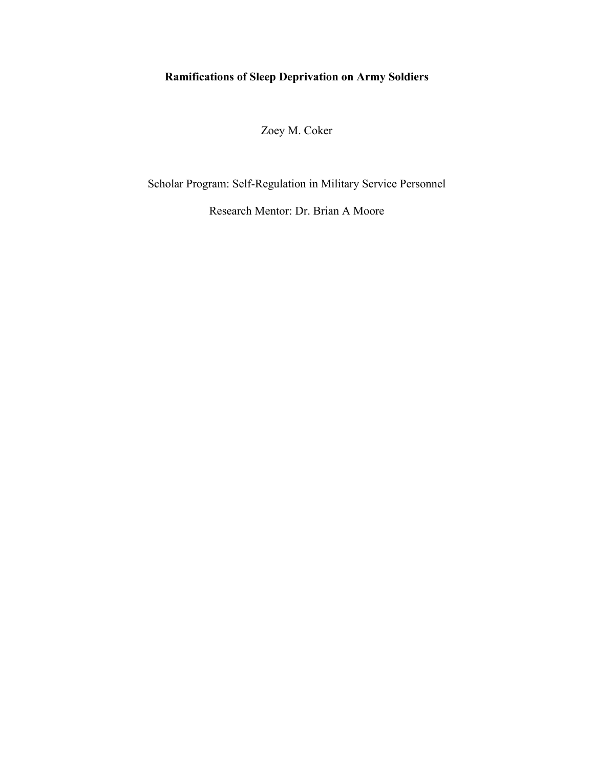## **Ramifications of Sleep Deprivation on Army Soldiers**

Zoey M. Coker

Scholar Program: Self-Regulation in Military Service Personnel

Research Mentor: Dr. Brian A Moore